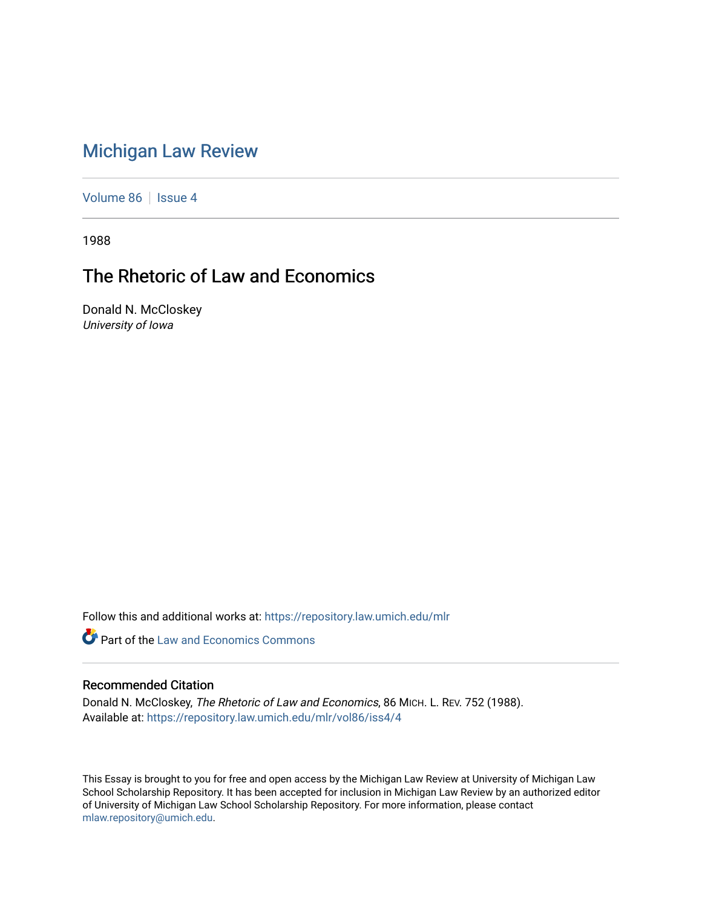# [Michigan Law Review](https://repository.law.umich.edu/mlr)

[Volume 86](https://repository.law.umich.edu/mlr/vol86) | [Issue 4](https://repository.law.umich.edu/mlr/vol86/iss4)

1988

# The Rhetoric of Law and Economics

Donald N. McCloskey University of Iowa

Follow this and additional works at: [https://repository.law.umich.edu/mlr](https://repository.law.umich.edu/mlr?utm_source=repository.law.umich.edu%2Fmlr%2Fvol86%2Fiss4%2F4&utm_medium=PDF&utm_campaign=PDFCoverPages) 

**Part of the Law and Economics Commons** 

### Recommended Citation

Donald N. McCloskey, The Rhetoric of Law and Economics, 86 MICH. L. REV. 752 (1988). Available at: [https://repository.law.umich.edu/mlr/vol86/iss4/4](https://repository.law.umich.edu/mlr/vol86/iss4/4?utm_source=repository.law.umich.edu%2Fmlr%2Fvol86%2Fiss4%2F4&utm_medium=PDF&utm_campaign=PDFCoverPages)

This Essay is brought to you for free and open access by the Michigan Law Review at University of Michigan Law School Scholarship Repository. It has been accepted for inclusion in Michigan Law Review by an authorized editor of University of Michigan Law School Scholarship Repository. For more information, please contact [mlaw.repository@umich.edu.](mailto:mlaw.repository@umich.edu)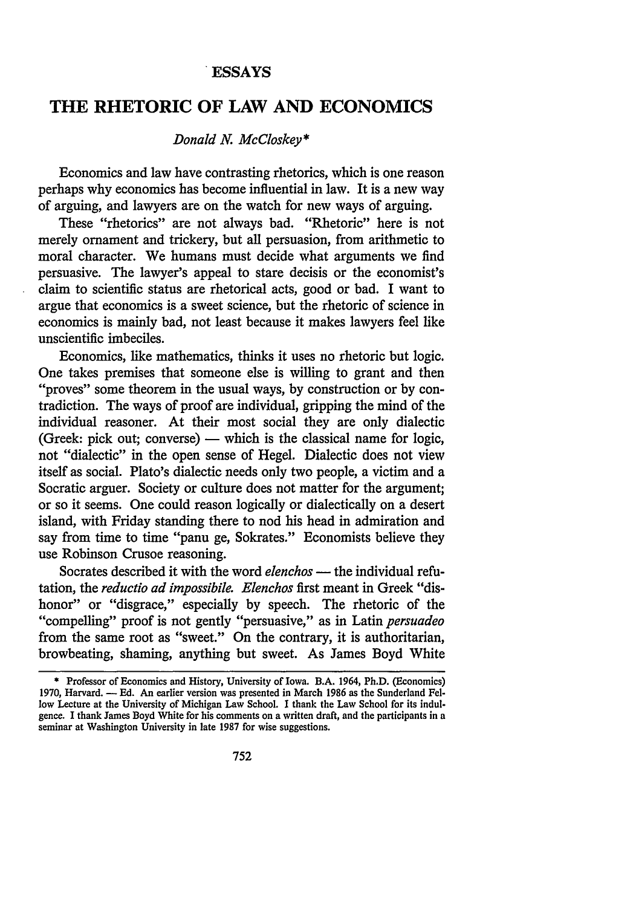#### **.ESSAYS**

## **THE RHETORIC OF LAW AND ECONOMICS**

### *Donald N. McCloskey\**

Economics and law have contrasting rhetorics, which is one reason perhaps why economics has become influential in law. It is a new way of arguing, and lawyers are on the watch for new ways of arguing.

These "rhetorics" are not always bad. "Rhetoric" here is not merely ornament and trickery, but all persuasion, from arithmetic to moral character. We humans must decide what arguments we find persuasive. The lawyer's appeal to stare decisis or the economist's claim to scientific status are rhetorical acts, good or bad. I want to argue that economics is a sweet science, but the rhetoric of science in economics is mainly bad, not least because it makes lawyers feel like unscientific imbeciles.

Economics, like mathematics, thinks it uses no rhetoric but logic. One takes premises that someone else is willing to grant and then "proves" some theorem in the usual ways, by construction or by contradiction. The ways of proof are individual, gripping the mind of the individual reasoner. At their most social they are only dialectic (Greek: pick out; converse)  $-$  which is the classical name for logic, not "dialectic" in the open sense of Hegel. Dialectic does not view itself as social. Plato's dialectic needs only two people, a victim and a Socratic arguer. Society or culture does not matter for the argument; or so it seems. One could reason logically or dialectically on a desert island, with Friday standing there to nod his head in admiration and say from time to time "panu ge, Sokrates." Economists believe they use Robinson Crusoe reasoning.

Socrates described it with the word *elenchos* — the individual refutation, the *reductio ad impossibile. Elenchos* first meant in Greek "dishonor" or "disgrace," especially by speech. The rhetoric of the "compelling" proof is not gently "persuasive," as in Latin *persuadeo*  from the same root as "sweet." On the contrary, it is authoritarian, browbeating, shaming, anything but sweet. As James Boyd White

<sup>\*</sup> Professor of Economics and History, University of Iowa. B.A. 1964, Ph.D. (Economics) 1970, Harvard. - Ed. An earlier version was presented in March 1986 as the Sunderland Fellow Lecture at the University of Michigan Law School. I thank the Law School for its indulgence. I thank James Boyd White for his comments on a written draft, and the participants in a seminar at Washington University in late 1987 for wise suggestions.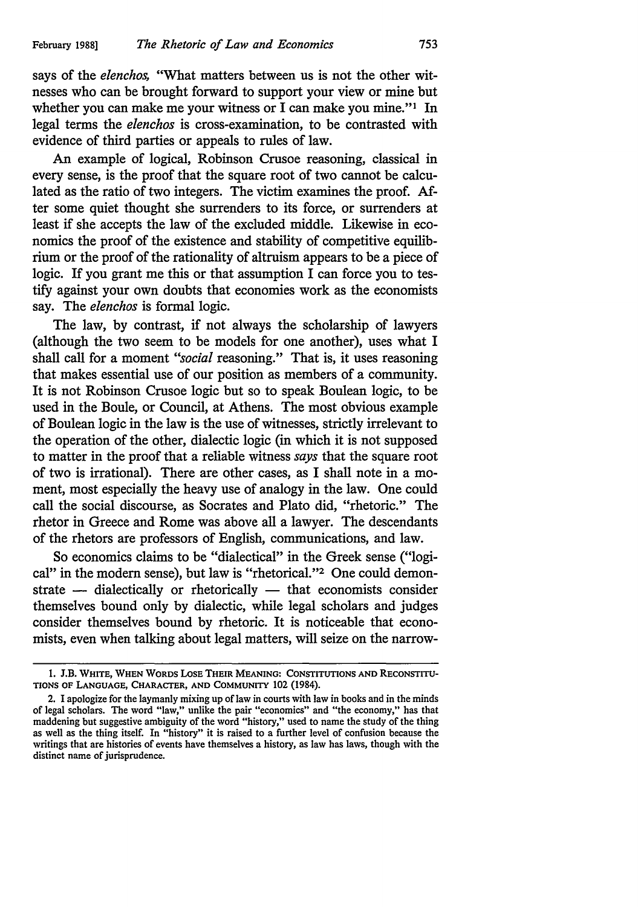says of the *elenchos,* "What matters between us is not the other witnesses who can be brought forward to support your view or mine but whether you can make me your witness or I can make you mine."<sup>1</sup> In legal terms the *elenchos* is cross-examination, to be contrasted with evidence of third parties or appeals to rules of law.

An example of logical, Robinson Crusoe reasoning, classical in every sense, is the proof that the square root of two cannot be calculated as the ratio of two integers. The victim examines the proof. After some quiet thought she surrenders to its force, or surrenders at least if she accepts the law of the excluded middle. Likewise in economics the proof of the existence and stability of competitive equilibrium or the proof of the rationality of altruism appears to be a piece of logic. If you grant me this or that assumption I can force you to testify against your own doubts that economies work as the economists say. The *elenchos* is formal logic.

The law, by contrast, if not always the scholarship of lawyers (although the two seem to be models for one another), uses what I shall call for a moment *"social* reasoning." That is, it uses reasoning that makes essential use of our position as members of a community. It is not Robinson Crusoe logic but so to speak Boulean logic, to be used in the Boule, or Council, at Athens. The most obvious example of Boulean logic in the law is the use of witnesses, strictly irrelevant to the operation of the other, dialectic logic (in which it is not supposed to matter in the proof that a reliable witness *says* that the square root of two is irrational). There are other cases, as I shall note in a moment, most especially the heavy use of analogy in the law. One could call the social discourse, as Socrates and Plato did, "rhetoric." The rhetor in Greece and Rome was above all a lawyer. The descendants of the rhetors are professors of English, communications, and law.

So economics claims to be "dialectical" in the 6reek sense ("logical" in the modem sense), but law is "rhetorical."2 One could demonstrate  $-$  dialectically or rhetorically  $-$  that economists consider themselves bound only by dialectic, while legal scholars and judges consider themselves bound by rhetoric. It is noticeable that economists, even when talking about legal matters, will seize on the narrow-

<sup>1.</sup> J.B. WHITE, WHEN WORDS LosE THEIR MEANING: CONSTITUTIONS AND RECONSTITU-TIONS OF LANGUAGE, CHARACTER, AND COMMUNITY 102 (1984).

<sup>2.</sup> I apologize for the laymanly mixing up of law in courts with law in books and in the minds of legal scholars. The word "law," unlike the pair "economics" and "the economy," has that maddening but suggestive ambiguity of the word "history," used to name the study of the thing as well as the thing itself. In "history" it is raised to a further level of confusion because the writings that are histories of events have themselves a history, as law has laws, though with the distinct name of jurisprudence.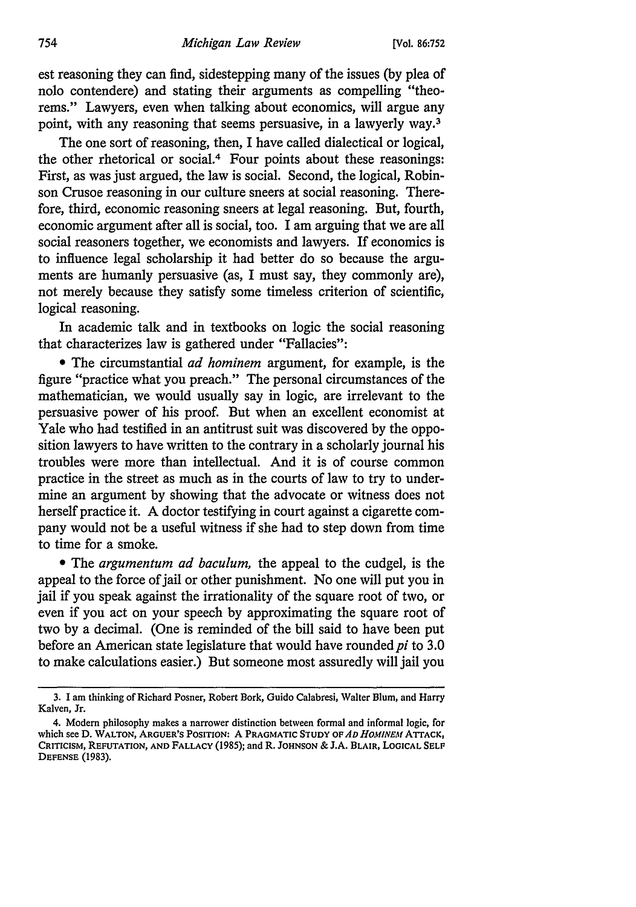est reasoning they can find, sidestepping many of the issues (by plea of nolo contendere) and stating their arguments as compelling "theorems." Lawyers, even when talking about economics, will argue any point, with any reasoning that seems persuasive, in a lawyerly way.3

The one sort of reasoning, then, I have called dialectical or logical, the other rhetorical or social.<sup>4</sup> Four points about these reasonings: First, as was just argued, the law is social. Second, the logical, Robinson Crusoe reasoning in our culture sneers at social reasoning. Therefore, third, economic reasoning sneers at legal reasoning. But, fourth, economic argument after all is social, too. I am arguing that we are all social reasoners together, we economists and lawyers. If economics is to influence legal scholarship it had better do so because the arguments are humanly persuasive (as, I must say, they commonly are), not merely because they satisfy some timeless criterion of scientific, logical reasoning.

In academic talk and in textbooks on logic the social reasoning that characterizes law is gathered under "Fallacies":

• The circumstantial *ad hominem* argument, for example, is the figure "practice what you preach." The personal circumstances of the mathematician, we would usually say in logic, are irrelevant to the persuasive power of his proof. But when an excellent economist at Yale who had testified in an antitrust suit was discovered by the opposition lawyers to have written to the contrary in a scholarly journal his troubles were more than intellectual. And it is of course common practice in the street as much as in the courts of law to try to undermine an argument by showing that the advocate or witness does not herself practice it. A doctor testifying in court against a cigarette company would not be a useful witness if she had to step down from time to time for a smoke.

• The *argumentum ad baculum,* the appeal to the cudgel, is the appeal to the force of jail or other punishment. No one will put you in jail if you speak against the irrationality of the square root of two, or even if you act on your speech by approximating the square root of two by a decimal. (One is reminded of the bill said to have been put before an American state legislature that would have rounded pi to 3.0 to make calculations easier.) But someone most assuredly will jail you

<sup>3.</sup> I am thinking of Richard Posner, Robert Bork, Guido Calabresi, Walter Blum, and Harry Kalven, Jr.

<sup>4.</sup> Modern philosophy makes a narrower distinction between formal and informal logic, for which see D. WALTON, ARGUER'S POSITION: A PRAGMATIC STUDY OF AD HOMINEM ATTACK, CRITICISM, REFUTATION, AND FALLACY (1985); and R. JOHNSON & J.A. BLAIR, LOGICAL SELF DEFENSE (1983).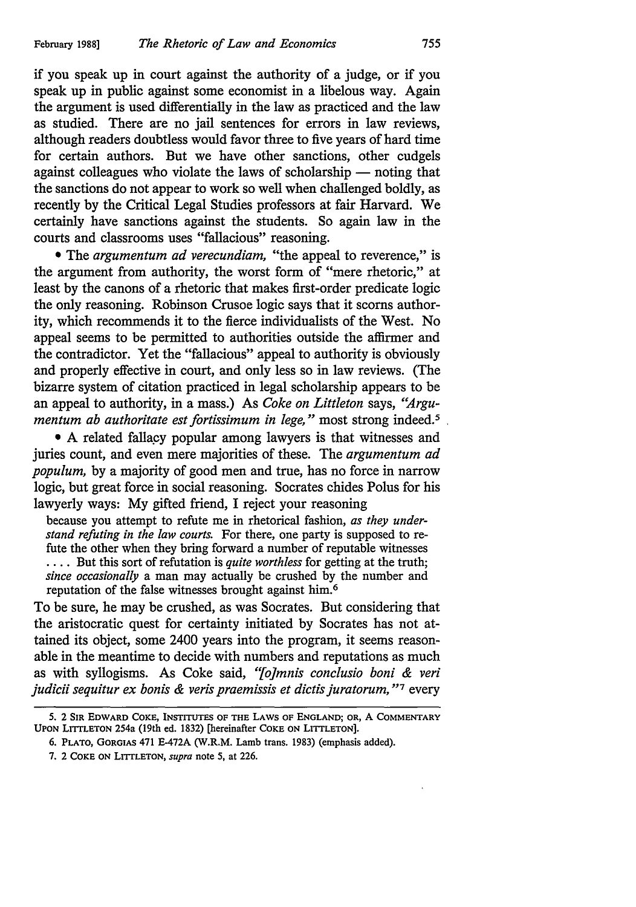if you speak up in court against the authority of a judge, or if you speak up in public against some economist in a libelous way. Again the argument is used differentially in the law as practiced and the law as studied. There are no jail sentences for errors in law reviews, although readers doubtless would favor three to five years of hard time for certain authors. But we have other sanctions, other cudgels against colleagues who violate the laws of scholarship  $-$  noting that the sanctions do not appear to work so well when challenged boldly, as recently by the Critical Legal Studies professors at fair Harvard. We certainly have sanctions against the students. So again law in the courts and classrooms uses "fallacious" reasoning.

• The *argumentum ad verecundiam,* "the appeal to reverence," is the argument from authority, the worst form of "mere rhetoric," at least by the canons of a rhetoric that makes first-order predicate logic the only reasoning. Robinson Crusoe logic says that it scorns authority, which recommends it to the fierce individualists of the West. No appeal seems to be permitted to authorities outside the affirmer and the contradictor. Yet the "fallacious" appeal to authority is obviously and properly effective in court, and only less so in law reviews. (The bizarre system of citation practiced in legal scholarship appears to be an appeal to authority, in a mass.) As *Coke on Littleton* says, *"Argumentum ab authoritate est fortissimum in lege,*" most strong indeed.<sup>5</sup>

• A related fallacy popular among lawyers is that witnesses and juries count, and even mere majorities of these. The *argumentum ad populum,* by a majority of good men and true, has no force in narrow logic, but great force in social reasoning. Socrates chides Polus for his lawyerly ways: My gifted friend, I reject your reasoning

because you attempt to refute me in rhetorical fashion, *as they understand refuting in the law courts.* For there, one party is supposed to refute the other when they bring forward a number of reputable witnesses . . . . But this sort of refutation is *quite worthless* for getting at the truth; *since occasionally* a man may actually be crushed by the number and reputation of the false witnesses brought against him. 6

To be sure, he may be crushed, as was Socrates. But considering that the aristocratic quest for certainty initiated by Socrates has not attained its object, some 2400 years into the program, it seems reasonable in the meantime to decide with numbers and reputations as much as with syllogisms. As Coke said, *''[o]mnis conclusio boni* & *veri judicii sequitur ex bonis & veris praemissis et dictis juratorum,*"<sup>7</sup> every

<sup>5. 2</sup> SIR EDWARD COKE, INSTITUTES OF THE LAWS OF ENGLAND; OR, A COMMENTARY UPON LITILETON 254a (19th ed. 1832) [hereinafter COKE ON LITTLETON].

<sup>6.</sup> PLATO, GORGIAS 471 E-472A (W.R.M. Lamb trans. 1983) (emphasis added).

<sup>7. 2</sup> COKE ON LITTLETON, *supra* note 5, at 226.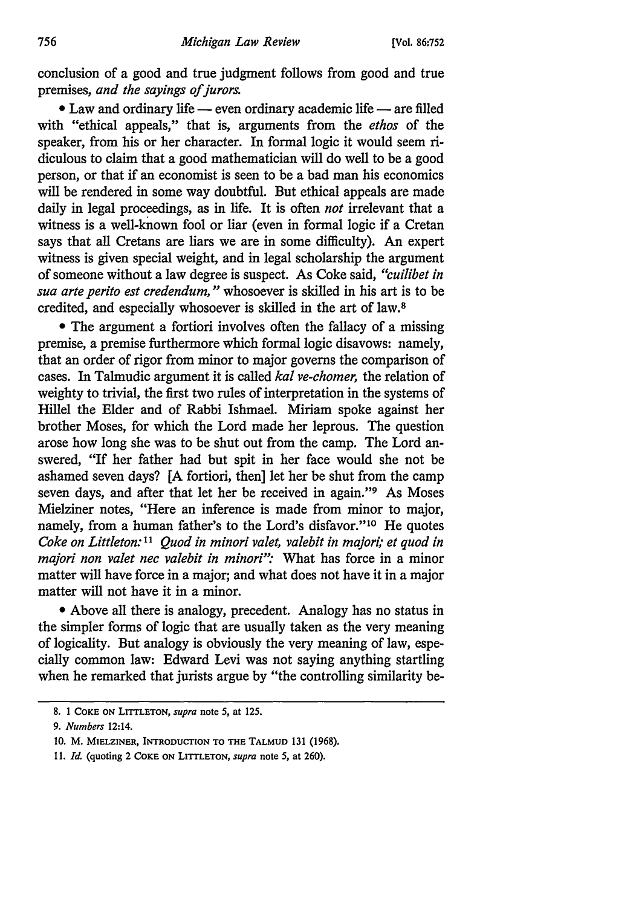conclusion of a good and true judgment follows from good and true premises, *and the sayings of jurors.* 

• Law and ordinary life — even ordinary academic life — are filled with "ethical appeals," that is, arguments from the *ethos* of the speaker, from his or her character. In formal logic it would seem ridiculous to claim that a good mathematician will do well to be a good person, or that if an economist is seen to be a bad man his economics will be rendered in some way doubtful. But ethical appeals are made daily in legal proceedings, as in life. It is often *not* irrelevant that a witness is a well-known fool or liar (even in formal logic if a Cretan says that all Cretans are liars we are in some difficulty). An expert witness is given special weight, and in legal scholarship the argument of someone without a law degree is suspect. As Coke said, *"cuilibet in sua arte perito est credendum,* " whosoever is skilled in his art is to be credited, and especially whosoever is skilled in the art of law. <sup>8</sup>

• The argument a fortiori involves often the fallacy of a missing premise, a premise furthermore which formal logic disavows: namely, that an order of rigor from minor to major governs the comparison of cases. In Talmudic argument it is called *kal ve-chomer,* the relation of weighty to trivial, the first two rules of interpretation in the systems of Hillel the Elder and of Rabbi Ishmael. Miriam spoke against her brother Moses, for which the Lord made her leprous. The question arose how long she was to be shut out from the camp. The Lord answered, "If her father had but spit in her face would she not be ashamed seven days? [A fortiori, then] let her be shut from the camp seven days, and after that let her be received in again."<sup>9</sup> As Moses Mielziner notes, "Here an inference is made from minor to major, namely, from a human father's to the Lord's disfavor."<sup>10</sup> He quotes *Coke on Littleton:* 11 *Quod in minori valet, valebit in majori; et quod in majori non valet nec valebit in minori*": What has force in a minor matter will have force in a major; and what does not have it in a major matter will not have it in a minor.

• Above all there is analogy, precedent. Analogy has no status in the simpler forms of logic that are usually taken as the very meaning of logicality. But analogy is obviously the very meaning of law, especially common law: Edward Levi was not saying anything startling when he remarked that jurists argue by "the controlling similarity be-

<sup>8. 1</sup> COKE ON LITILETON, *supra* note *s,* at 125.

<sup>9.</sup> *Numbers* 12:14.

<sup>10.</sup> M. MIELZINER, INTRODUCTION TO THE TALMUD 131 (1968).

<sup>11.</sup> *Id.* (quoting 2 COKE ON LITILETON, *supra* note *5,* at 260).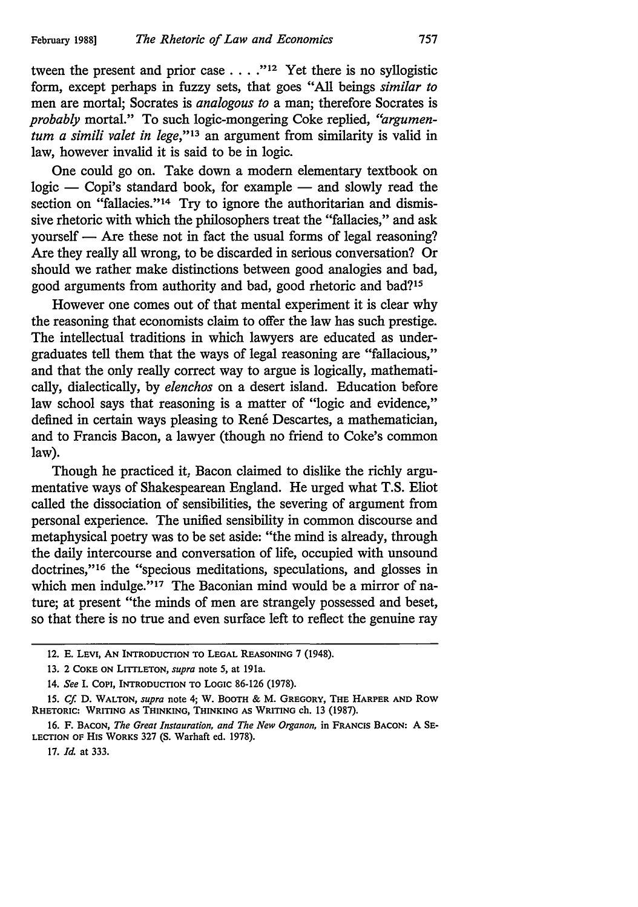tween the present and prior case  $\dots$ ."<sup>12</sup> Yet there is no syllogistic form, except perhaps in fuzzy sets, that goes "All beings *similar to*  men are mortal; Socrates is *analogous to* a man; therefore Socrates is *probably* mortal." To such logic-mongering Coke replied, *"argumentum a simili valet in lege," <sup>13</sup>*an argument from similarity is valid in law, however invalid it is said to be in logic.

One could go on. Take down a modem elementary textbook on logic — Copi's standard book, for example — and slowly read the section on "fallacies."<sup>14</sup> Try to ignore the authoritarian and dismissive rhetoric with which the philosophers treat the "fallacies," and ask yourself - Are these not in fact the usual forms of legal reasoning? Are they really all wrong, to be discarded in serious conversation? Or should we rather make distinctions between good analogies and bad, good arguments from authority and bad, good rhetoric and bad?15

However one comes out of that mental experiment it is clear why the reasoning that economists claim to offer the law has such prestige. The intellectual traditions in which lawyers are educated as undergraduates tell them that the ways of legal reasoning are "fallacious," and that the only really correct way to argue is logically, mathematically, dialectically, by *elenchos* on a desert island. Education before law school says that reasoning is a matter of "logic and evidence," defined in certain ways pleasing to René Descartes, a mathematician, and to Francis Bacon, a lawyer (though no friend to Coke's common law).

Though he practiced it, Bacon claimed to dislike the richly argumentative ways of Shakespearean England. He urged what T.S. Eliot called the dissociation of sensibilities, the severing of argument from personal experience. The unified sensibility in common discourse and metaphysical poetry was to be set aside: "the mind is already, through the daily intercourse and conversation of life, occupied with unsound doctrines,"<sup>16</sup> the "specious meditations, speculations, and glosses in which men indulge."<sup>17</sup> The Baconian mind would be a mirror of nature; at present "the minds of men are strangely possessed and beset, so that there is no true and even surface left to reflect the genuine ray

<sup>12.</sup> E. LEVI, AN INTRODUCTION TO LEGAL REASONING 7 (1948).

<sup>13. 2</sup> COKE ON LITTLETON, *supra* note *5,* at 19la.

<sup>14.</sup> *See* I. COPI, INTRODUCTION TO LOGIC 86-126 (1978).

<sup>15.</sup> *Cf* D. WALTON, *supra* note 4; w. BOOTH & M. GREGORY, THE HARPER AND Row RHETORIC: WRITING AS THINKING, THINKING AS WRITING ch. 13 (1987).

<sup>16.</sup> F. BACON, *The Great lnstauration, and The New Organon,* in FRANCIS BACON: A SE-LECTION OF His WORKS 327 (S. Warhaft ed. 1978).

<sup>17.</sup> *Id.* at 333.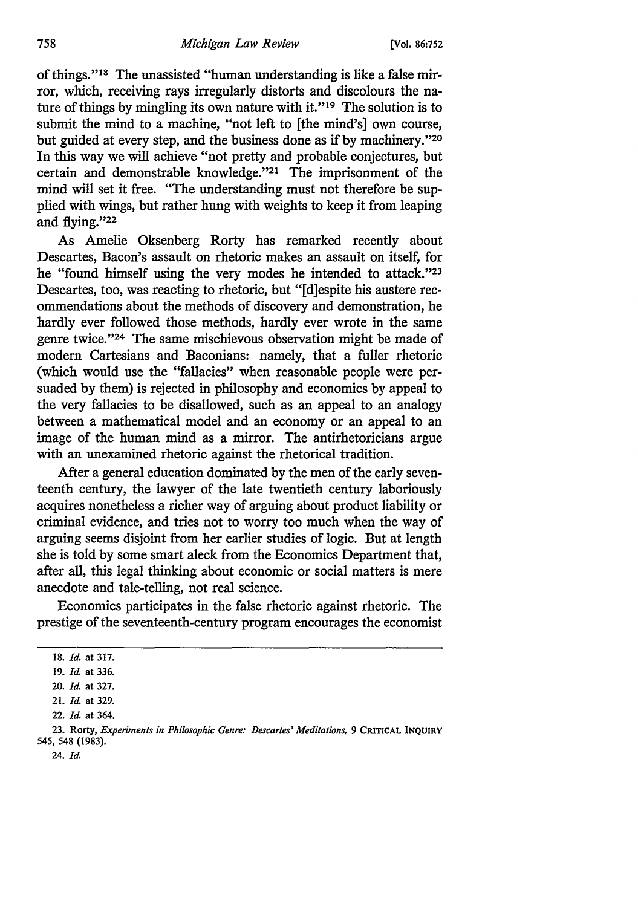of things."<sup>18</sup> The unassisted "human understanding is like a false mirror, which, receiving rays irregularly distorts and discolours the nature of things by mingling its own nature with it."19 The solution is to submit the mind to a machine, "not left to [the mind's] own course, but guided at every step, and the business done as if by machinery."20 In this way we will achieve "not pretty and probable conjectures, but certain and demonstrable knowledge."21 The imprisonment of the mind will set it free. "The understanding must not therefore be supplied with wings, but rather hung with weights to keep it from leaping and flying."22

As Amelie Oksenberg Rorty has remarked recently about Descartes, Bacon's assault on rhetoric makes an assault on itself, for he "found himself using the very modes he intended to attack."23 Descartes, too, was reacting to rhetoric, but "[d]espite his austere recommendations about the methods of discovery and demonstration, he hardly ever followed those methods, hardly ever wrote in the same genre twice."24 The same mischievous observation might be made of modern Cartesians and Baconians: namely, that a fuller rhetoric (which would use the "fallacies" when reasonable people were persuaded by them) is rejected in philosophy and economics by appeal to the very fallacies to be disallowed, such as an appeal to an analogy between a mathematical model and an economy or an appeal to an image of the human mind as a mirror. The antirhetoricians argue with an unexamined rhetoric against the rhetorical tradition.

After a general education dominated by the men of the early seventeenth century, the lawyer of the late twentieth century laboriously acquires nonetheless a richer way of arguing about product liability or criminal evidence, and tries not to worry too much when the way of arguing seems disjoint from her earlier studies of logic. But at length she is told by some smart aleck from the Economics Department that, after all, this legal thinking about economic or social matters is mere anecdote and tale-telling, not real science.

Economics participates in the false rhetoric against rhetoric. The prestige of the seventeenth-century program encourages the economist

<sup>18.</sup> *Id.* at 317.

<sup>19.</sup> *Id.* at 336.

<sup>20.</sup> *Id.* at 327. 21. *Id.* at 329.

<sup>22.</sup> *Id.* at 364.

<sup>23.</sup> Rorty, *Experiments in Philosophic Genre: Descartes' Meditations,* 9 CRITICAL INQUIRY 545, 548 (1983).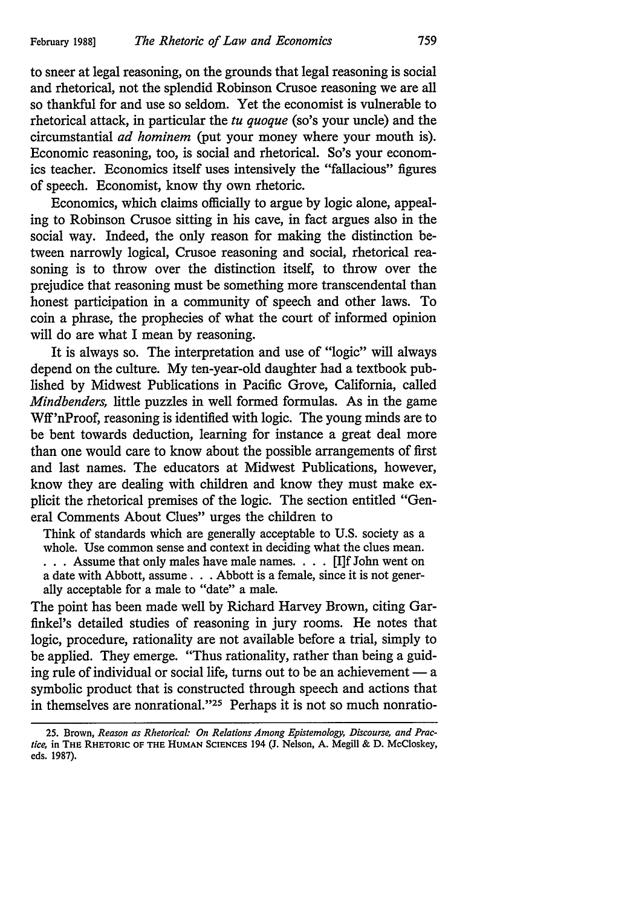to sneer at legal reasoning, on the grounds that legal reasoning is social

and rhetorical, not the splendid Robinson Crusoe reasoning we are all so thankful for and use so seldom. Yet the economist is vulnerable to rhetorical attack, in particular the *tu quoque* (so's your uncle) and the circumstantial *ad hominem* (put your money where your mouth is). Economic reasoning, too, is social and rhetorical. So's your economics teacher. Economics itself uses intensively the "fallacious" figures of speech. Economist, know thy own rhetoric.

Economics, which claims officially to argue by logic alone, appealing to Robinson Crusoe sitting in his cave, in fact argues also in the social way. Indeed, the only reason for making the distinction between narrowly logical, Crusoe reasoning and social, rhetorical reasoning is to throw over the distinction itself, to throw over the prejudice that reasoning must be something more transcendental than honest participation in a community of speech and other laws. To coin a phrase, the prophecies of what the court of informed opinion will do are what I mean by reasoning.

It is always so. The interpretation and use of "logic" will always depend on the culture. My ten-year-old daughter had a textbook published by Midwest Publications in Pacific Grove, California, called *Mindbenders,* little puzzles in well formed formulas. As in the game Wff'nProof, reasoning is identified with logic. The young minds are to be bent towards deduction, learning for instance a great deal more than one would care to know about the possible arrangements of first and last names. The educators at Midwest Publications, however, know they are dealing with children and know they must make explicit the rhetorical premises of the logic. The section entitled "General Comments About Clues" urges the children to

Think of standards which are generally acceptable to U.S. society as a whole. Use common sense and context in deciding what the clues mean. ... Assume that only males have male names.... [I]f John went on a date with Abbott, assume . . . Abbott is a female, since it is not generally acceptable for a male to "date" a male.

The point has been made well by Richard Harvey Brown, citing Garfinkel's detailed studies of reasoning in jury rooms. He notes that logic, procedure, rationality are not available before a trial, simply to be applied. They emerge. "Thus rationality, rather than being a guiding rule of individual or social life, turns out to be an achievement  $-$  a symbolic product that is constructed through speech and actions that in themselves are nonrational."25 Perhaps it is not so much nonratio-

<sup>25.</sup> Brown, *Reason as Rhetorical: On Relations Among Epistemology, Discourse, and Practice,* in THE RHETORIC OF THE HUMAN SCIENCES 194 (J. Nelson, A. Megill & D. McCloskey, eds. 1987).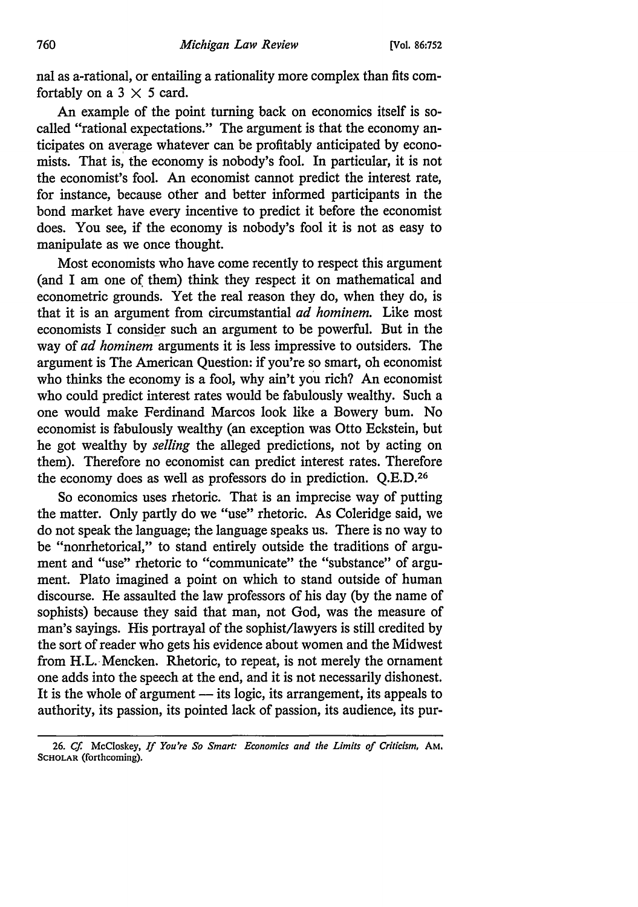nal as a-rational, or entailing a rationality more complex than fits comfortably on a  $3 \times 5$  card.

An example of the point turning back on economics itself is socalled "rational expectations." The argument is that the economy anticipates on average whatever can be profitably anticipated by economists. That is, the economy is nobody's fool. In particular, it is not the economist's fool. An economist cannot predict the interest rate, for instance, because other and better informed participants in the bond market have every incentive to predict it before the economist does. You see, if the economy is nobody's fool it is not as easy to manipulate as we once thought.

Most economists who have come recently to respect this argument (and I am one of them) think they respect it on mathematical and econometric grounds. Yet the real reason they do, when they do, is that it is an argument from circumstantial *ad hominem.* Like most economists I consider such an argument to be powerful. But in the way of *ad hominem* arguments it is less impressive to outsiders. The argument is The American Question: if you're so smart, oh economist who thinks the economy is a fool, why ain't you rich? An economist who could predict interest rates would be fabulously wealthy. Such a one would make Ferdinand Marcos look like a Bowery bum. No economist is fabulously wealthy (an exception was Otto Eckstein, but he got wealthy by *selling* the alleged predictions, not by acting on them). Therefore no economist can predict interest rates. Therefore the economy does as well as professors do in prediction. Q.E.D.26

So economics uses rhetoric. That is an imprecise way of putting the matter. Only partly do we "use" rhetoric. As Coleridge said, we do not speak the language; the language speaks us. There is no way to be "nonrhetorical," to stand entirely outside the traditions of argument and "use" rhetoric to "communicate" the "substance" of argument. Plato imagined a point on which to stand outside of human discourse. He assaulted the law professors of his day (by the name of sophists) because they said that man, not God, was the measure of man's sayings. His portrayal of the sophist/lawyers is still credited by the sort of reader who gets his evidence about women and the Midwest from H.L. Mencken. Rhetoric, to repeat, is not merely the ornament one adds into the speech at the end, and it is not necessarily dishonest. It is the whole of argument — its logic, its arrangement, its appeals to authority, its passion, its pointed lack of passion, its audience, its pur-

<sup>26.</sup> *Cf.* Mccloskey, If *You're So Smart: Economics and the Limits of Criticism,* AM. SCHOLAR (forthcoming).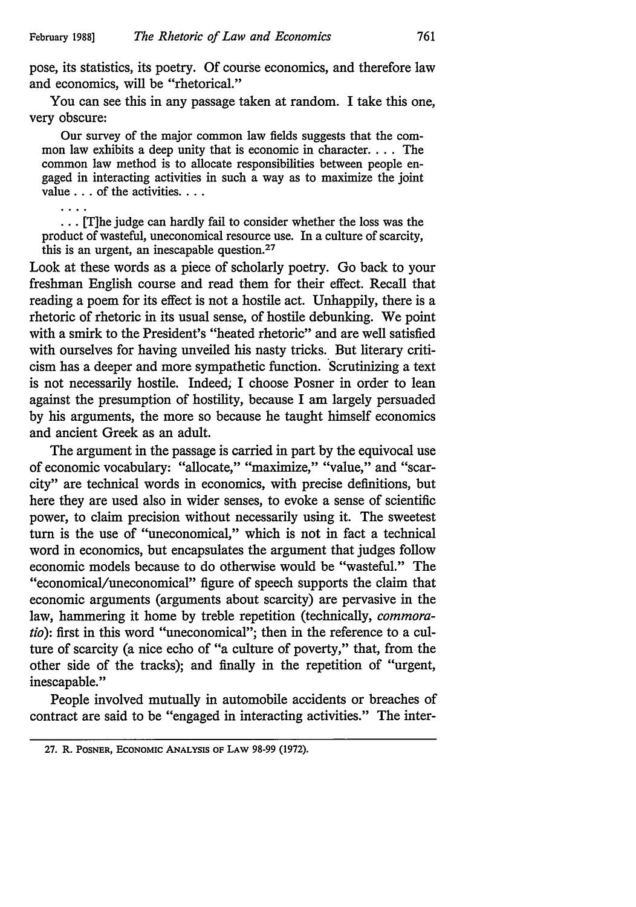pose, its statistics, its poetry. Of course economics, and therefore law and economics, will be "rhetorical."

You can see this in any passage taken at random. I take this one, very obscure:

Our survey of the major common law fields suggests that the common law exhibits a deep unity that is economic in character. . . . The common law method is to allocate responsibilities between people engaged in interacting activities in such a way as to maximize the joint value . . . of the activities. . . .

... [T]he judge can hardly fail to consider whether the loss was the product of wasteful, uneconomical resource use. In a culture of scarcity, this is an urgent, an inescapable question.27

Look at these words as a piece of scholarly poetry. Go back to your freshman English course and read them for their effect. Recall that reading a poem for its effect is not a hostile act. Unhappily, there is a rhetoric of rhetoric in its usual sense, of hostile debunking. We point with a smirk to the President's "heated rhetoric" and are well satisfied with ourselves for having unveiled his nasty tricks. But literary criticism has a deeper and more sympathetic function. Scrutinizing a text is not necessarily hostile. Indeed; I choose Posner in order to lean against the presumption of hostility, because I am largely persuaded by his arguments, the more so because he taught himself economics and ancient Greek as an adult.

The argument in the passage is carried in part by the equivocal use of economic vocabulary: "allocate," "maximize," "value," and "scarcity" are technical words in economics, with precise definitions, but here they are used also in wider senses, to evoke a sense of scientific power, to claim precision without necessarily using it. The sweetest turn is the use of "uneconomical," which is not in fact a technical word in economics, but encapsulates the argument that judges follow economic models because to do otherwise would be "wasteful." The "economical/uneconomical" figure of speech supports the claim that economic arguments (arguments about scarcity) are pervasive in the law, hammering it home by treble repetition (technically, *commora*tio): first in this word "uneconomical"; then in the reference to a culture of scarcity (a nice echo of "a culture of poverty," that, from the other side of the tracks); and finally in the repetition of "urgent, inescapable."

People involved mutually in automobile accidents or breaches of contract are said to be "engaged in interacting activities." The inter-

<sup>27.</sup> R. POSNER, EcONOMIC ANALYSIS OF LAW 98-99 (1972).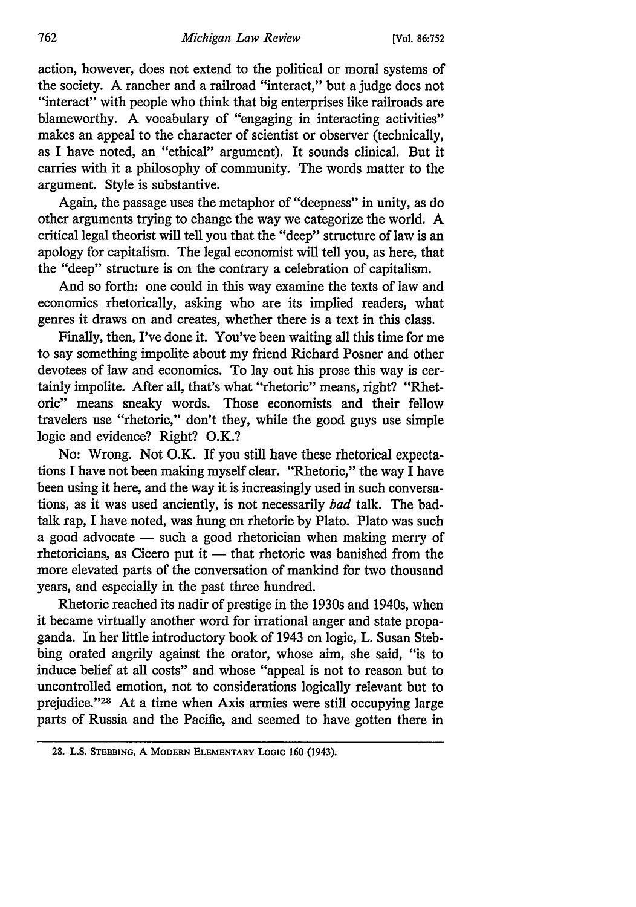action, however, does not extend to the political or moral systems of the society. A rancher and a railroad "interact," but a judge does not "interact" with people who think that big enterprises like railroads are blameworthy. A vocabulary of "engaging in interacting activities" makes an appeal to the character of scientist or observer (technically, as I have noted, an "ethical" argument). It sounds clinical. But it carries with it a philosophy of community. The words matter to the argument. Style is substantive.

Again, the passage uses the metaphor of "deepness" in unity, as do other arguments trying to change the way we categorize the world. A critical legal theorist will tell you that the "deep" structure of law is an apology for capitalism. The legal economist will tell you, as here, that the "deep" structure is on the contrary a celebration of capitalism.

And so forth: one could in this way examine the texts of law and economics rhetorically, asking who are its implied readers, what genres it draws on and creates, whether there is a text in this class.

Finally, then, I've done it. You've been waiting all this time for me to say something impolite about my friend Richard Posner and other devotees of law and economics. To lay out his prose this way is certainly impolite. After all, that's what "rhetoric" means, right? "Rhetoric" means sneaky words. Those economists and their fellow travelers use "rhetoric," don't they, while the good guys use simple logic and evidence? Right? O.K.?

No: Wrong. Not O.K. If you still have these rhetorical expectations I have not been making myself clear. "Rhetoric," the way I have been using it here, and the way it is increasingly used in such conversations, as it was used anciently, is not necessarily *bad* talk. The badtalk rap, I have noted, was hung on rhetoric by Plato. Plato was such a good advocate  $-$  such a good rhetorician when making merry of rhetoricians, as Cicero put it  $-$  that rhetoric was banished from the more elevated parts of the conversation of mankind for two thousand years, and especially in the past three hundred.

Rhetoric reached its nadir of prestige in the 1930s and 1940s, when it became virtually another word for irrational anger and state propaganda. In her little introductory book of 1943 on logic, L. Susan Stebbing orated angrily against the orator, whose aim, she said, "is to induce belief at all costs" and whose "appeal is not to reason but to uncontrolled emotion, not to considerations logically relevant but to prejudice."28 At a time when Axis armies were still occupying large parts of Russia and the Pacific, and seemed to have gotten there in

<sup>28.</sup> L.S. STEBBING, A MODERN ELEMENTARY LOGIC 160 (1943).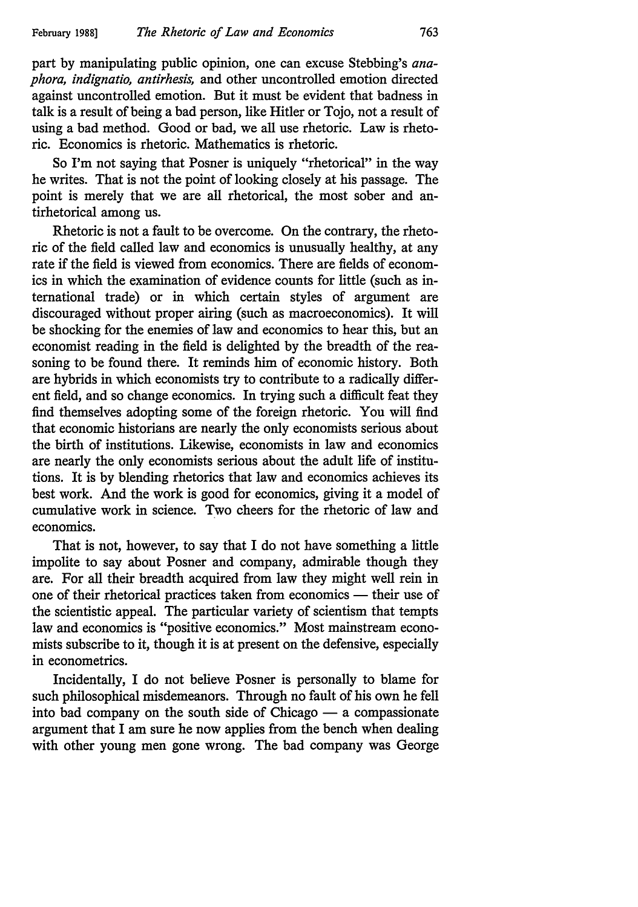part by manipulating public opinion, one can excuse Stebbing's *anaphora, indignatio, antirhesis,* and other uncontrolled emotion directed against uncontrolled emotion. But it must be evident that badness in talk is a result of being a bad person, like Hitler or Tojo, not a result of using a bad method. Good or bad, we all use rhetoric. Law is rhetoric. Economics is rhetoric. Mathematics is rhetoric.

So I'm not saying that Posner is uniquely "rhetorical" in the way he writes. That is not the point of looking closely at his passage. The point is merely that we are all rhetorical, the most sober and antirhetorical among us.

Rhetoric is not a fault to be overcome. On the contrary, the rhetoric of the field called law and economics is unusually healthy, at any rate if the field is viewed from economics. There are fields of economics in which the examination of evidence counts for little (such as international trade) or in which certain styles of argument are discouraged without proper airing (such as macroeconomics). It will be shocking for the enemies of law and economics to hear this, but an economist reading in the field is delighted by the breadth of the reasoning to be found there. It reminds him of economic history. Both are hybrids in which economists try to contribute to a radically different field, and so change economics. In trying such a difficult feat they find themselves adopting some of the foreign rhetoric. You will find that economic historians are nearly the only economists serious about the birth of institutions. Likewise, economists in law and economics are nearly the only economists serious about the adult life of institutions. It is by blending rhetorics that law and economics achieves its best work. And the work is good for economics, giving it a model of cumulative work in science. Two cheers for the rhetoric of law and economics.

That is not, however, to say that I do not have something a little impolite to say about Posner and company, admirable though they are. For all their breadth acquired from law they might well rein in one of their rhetorical practices taken from economics — their use of the scientistic appeal. The particular variety of scientism that tempts law and economics is "positive economics." Most mainstream economists subscribe to it, though it is at present on the defensive, especially in econometrics.

Incidentally, I do not believe Posner is personally to blame for such philosophical misdemeanors. Through no fault of his own he fell into bad company on the south side of Chicago  $-$  a compassionate argument that I am sure he now applies from the bench when dealing with other young men gone wrong. The bad company was George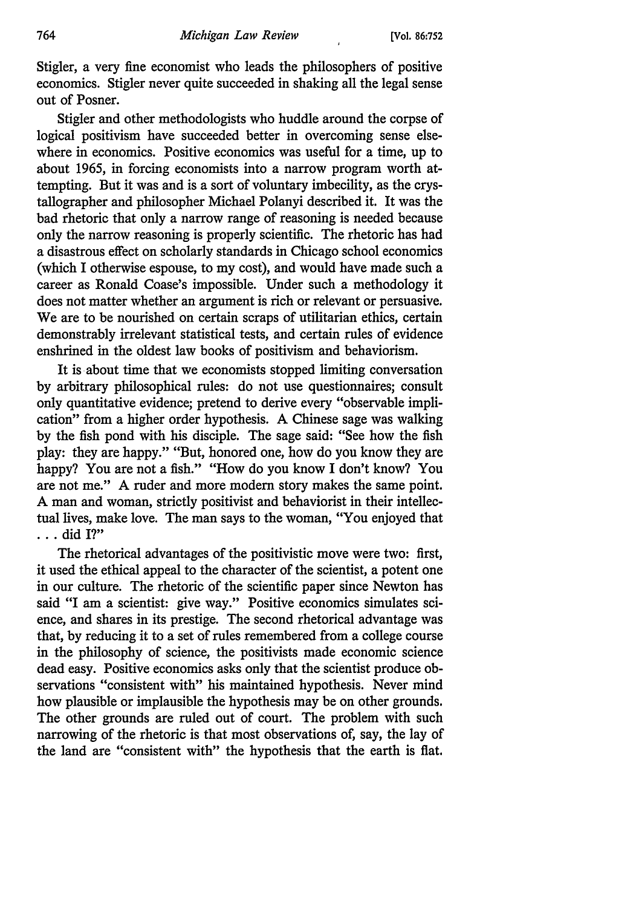Stigler, a very fine economist who leads the philosophers of positive economics. Stigler never quite succeeded in shaking all the legal sense out of Posner.

Stigler and other methodologists who huddle around the corpse of logical positivism have succeeded better in overcoming sense elsewhere in economics. Positive economics was useful for a time, up to about 1965, in forcing economists into a narrow program worth attempting. But it was and is a sort of voluntary imbecility, as the crystallographer and philosopher Michael Polanyi described it. It was the bad rhetoric that only a narrow range of reasoning is needed because only the narrow reasoning is properly scientific. The rhetoric has had a disastrous effect on scholarly standards in Chicago school economics (which I otherwise espouse, to my cost), and would have made such a career as Ronald Coase's impossible. Under such a methodology it does not matter whether an argument is rich or relevant or persuasive. We are to be nourished on certain scraps of utilitarian ethics, certain demonstrably irrelevant statistical tests, and certain rules of evidence enshrined in the oldest law books of positivism and behaviorism.

It is about time that we economists stopped limiting conversation by arbitrary philosophical rules: do not use questionnaires; consult only quantitative evidence; pretend to derive every "observable implication" from a higher order hypothesis. A Chinese sage was walking by the fish pond with his disciple. The sage said: "See how the fish play: they are happy." "But, honored one, how do you know they are happy? You are not a fish." "How do you know I don't know? You are not me." A ruder and more modern story makes the same point. A man and woman, strictly positivist and behaviorist in their intellectual lives, make love. The man says to the woman, "You enjoyed that ... did I?"

The rhetorical advantages of the positivistic move were two: first, it used the ethical appeal to the character of the scientist, a potent one in our culture. The rhetoric of the scientific paper since Newton has said "I am a scientist: give way." Positive economics simulates science, and shares in its prestige. The second rhetorical advantage was that, by reducing it to a set of rules remembered from a college course in the philosophy of science, the positivists made economic science dead easy. Positive economics asks only that the scientist produce observations "consistent with" his maintained hypothesis. Never mind how plausible or implausible the hypothesis may be on other grounds. The other grounds are ruled out of court. The problem with such narrowing of the rhetoric is that most observations of, say, the lay of the land are "consistent with" the hypothesis that the earth is flat.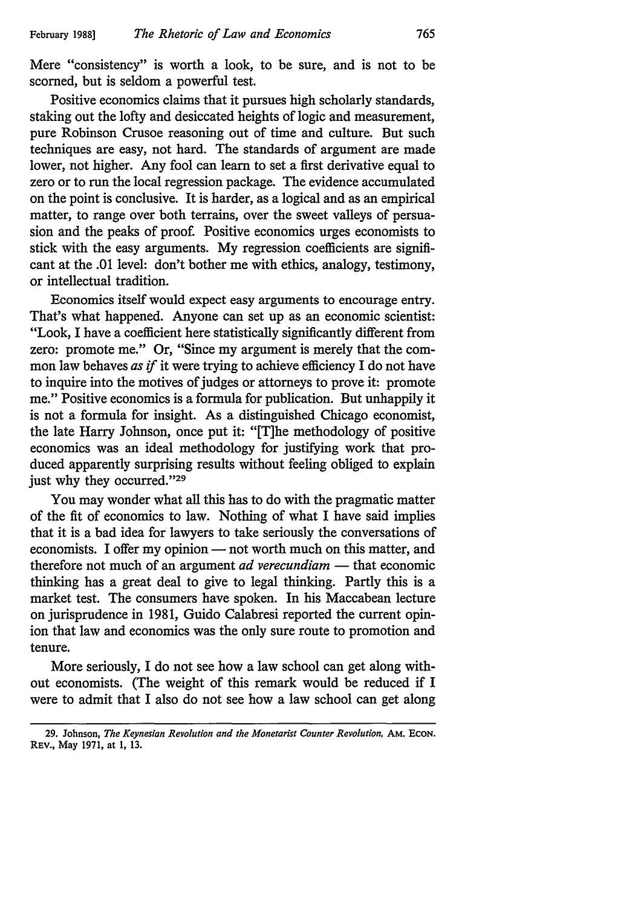Mere "consistency" is worth a look, to be sure, and is not to be scorned, but is seldom a powerful test.

Positive economics claims that it pursues high scholarly standards, staking out the lofty and desiccated heights of logic and measurement, pure Robinson Crusoe reasoning out of time and culture. But such techniques are easy, not hard. The standards of argument are made lower, not higher. Any fool can learn to set a first derivative equal to zero or to run the local regression package. The evidence accumulated on the point is conclusive. It is harder, as a logical and as an empirical matter, to range over both terrains, over the sweet valleys of persuasion and the peaks of proof. Positive economics urges economists to stick with the easy arguments. My regression coefficients are significant at the .01 level: don't bother me with ethics, analogy, testimony, or intellectual tradition.

Economics itself would expect easy arguments to encourage entry. That's what happened. Anyone can set up as an economic scientist: "Look, I have a coefficient here statistically significantly different from zero: promote me." Or, "Since my argument is merely that the common law behaves *as* if it were trying to achieve efficiency I do not have to inquire into the motives of judges or attorneys to prove it: promote me." Positive economics is a formula for publication. But unhappily it is not a formula for insight. As a distinguished Chicago economist, the late Harry Johnson, once put it: "[T]he methodology of positive economics was an ideal methodology for justifying work that produced apparently surprising results without feeling obliged to explain just why they occurred."29

You may wonder what all this has to do with the pragmatic matter of the fit of economics to law. Nothing of what I have said implies that it is a bad idea for lawyers to take seriously the conversations of economists. I offer my opinion - not worth much on this matter, and therefore not much of an argument *ad verecundiam* - that economic thinking has a great deal to give to legal thinking. Partly this is a market test. The consumers have spoken. In his Maccabean lecture on jurisprudence in 1981, Guido Calabresi reported the current opinion that law and economics was the only sure route to promotion and tenure.

More seriously, I do not see how a law school can get along without economists. (The weight of this remark would be reduced if I were to admit that I also do not see how a law school can get along

<sup>29.</sup> Johnson, *The Keynesian Revolution and the Monetarist Counter Revolution,* AM. EcoN. REV., May 1971, at 1, 13.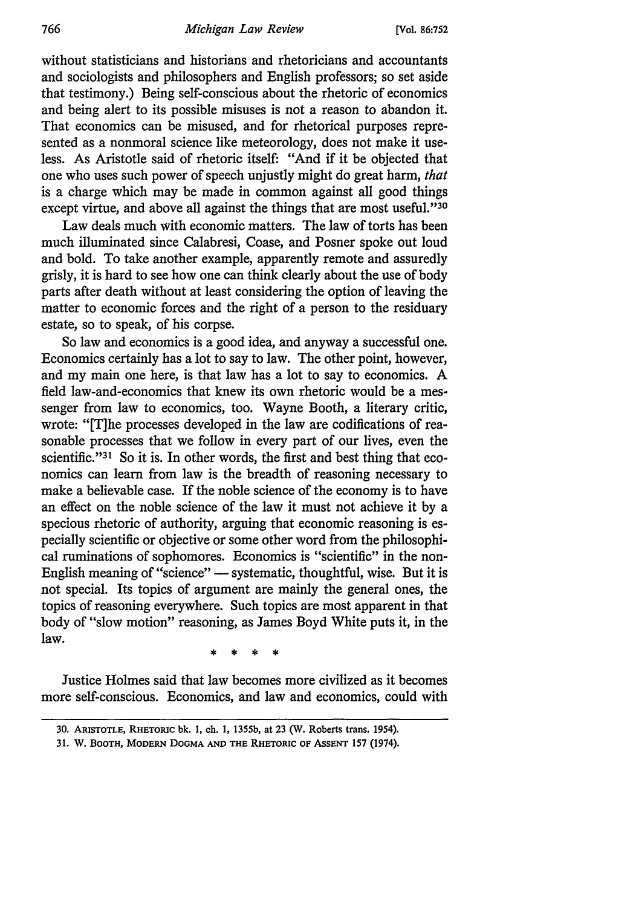without statisticians and historians and rhetoricians and accountants and sociologists and philosophers and English professors; so set aside that testimony.) Being self-conscious about the rhetoric of economics and being alert to its possible misuses is not a reason to abandon it. That economics can be misused, and for rhetorical purposes represented as a nonmoral science like meteorology, does not make it useless. As Aristotle said of rhetoric itself: "And if it be objected that one who uses such power of speech unjustly might do great harm, *that*  is a charge which may be made in common against all good things except virtue, and above all against the things that are most useful."<sup>30</sup>

Law deals much with economic matters. The law of torts has been much illuminated since Calabresi, Coase, and Posner spoke out loud and bold. To take another example, apparently remote and assuredly grisly, it is hard to see how one can think clearly about the use of body parts after death without at least considering the option of leaving the matter to economic forces and the right of a person to the residuary estate, so to speak, of his corpse.

So law and economics is a good idea, and anyway a successful one. Economics certainly has a lot to say to law. The other point, however, and my main one here, is that law has a lot to say to economics. A field law-and-economics that knew its own rhetoric would be a messenger from law to economics, too. Wayne Booth, a literary critic, wrote: "[T]he processes developed in the law are codifications of reasonable processes that we follow in every part of our lives, even the scientific."<sup>31</sup> So it is. In other words, the first and best thing that economics can learn from law is the breadth of reasoning necessary to make a believable case. If the noble science of the economy is to have an effect on the noble science of the law it must not achieve it by a specious rhetoric of authority, arguing that economic reasoning is especially scientific or objective or some other word from the philosophical ruminations of sophomores. Economics is "scientific" in the non-English meaning of "science" — systematic, thoughtful, wise. But it is not special. Its topics of argument are mainly the general ones, the topics of reasoning everywhere. Such topics are most apparent in that body of "slow motion" reasoning, as James Boyd White puts it, in the law.

\* \* \* \*

Justice Holmes said that law becomes more civilized as it becomes more self-conscious. Economics, and law and economics, could with

<sup>30.</sup> ARISTOTLE, RHETORIC bk. l, ch. 1, 1355b, at 23 (W. Roberts trans. 1954).

<sup>31.</sup> W. BOOTH, MODERN DOGMA AND THE RHETORIC OF AsSENT 157 (1974).